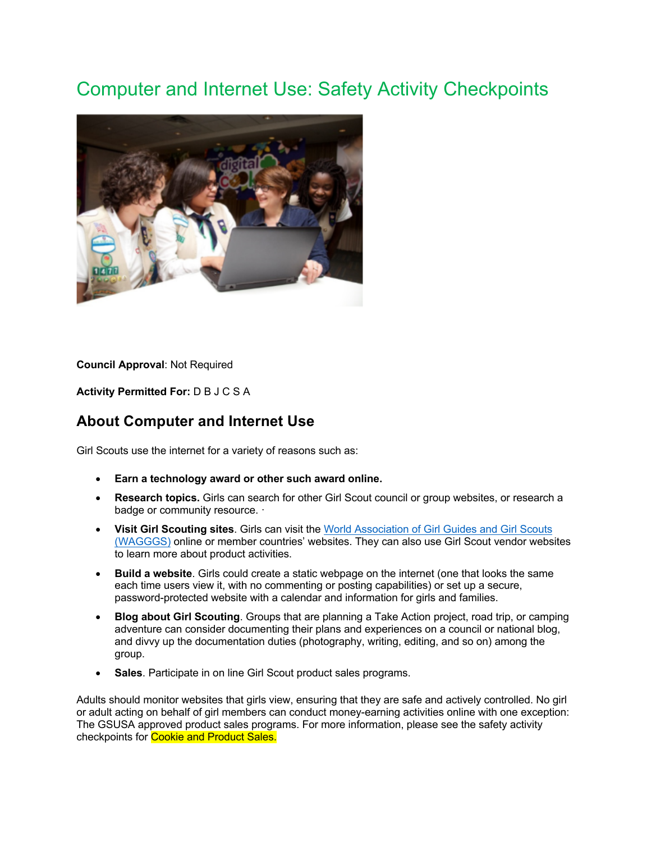## Computer and Internet Use: Safety Activity Checkpoints



**Council Approval**: Not Required

**Activity Permitted For:** D B J C S A

## **About Computer and Internet Use**

Girl Scouts use the internet for a variety of reasons such as:

- **Earn a technology award or other such award online.**
- **Research topics.** Girls can search for other Girl Scout council or group websites, or research a badge or community resource. ·
- **Visit Girl Scouting sites**. Girls can visit the World Association of Girl Guides and Girl Scouts (WAGGGS) online or member countries' websites. They can also use Girl Scout vendor websites to learn more about product activities.
- **Build a website**. Girls could create a static webpage on the internet (one that looks the same each time users view it, with no commenting or posting capabilities) or set up a secure, password-protected website with a calendar and information for girls and families.
- **Blog about Girl Scouting**. Groups that are planning a Take Action project, road trip, or camping adventure can consider documenting their plans and experiences on a council or national blog, and divvy up the documentation duties (photography, writing, editing, and so on) among the group.
- **Sales**. Participate in on line Girl Scout product sales programs.

Adults should monitor websites that girls view, ensuring that they are safe and actively controlled. No girl or adult acting on behalf of girl members can conduct money-earning activities online with one exception: The GSUSA approved product sales programs. For more information, please see the safety activity checkpoints for Cookie and Product Sales.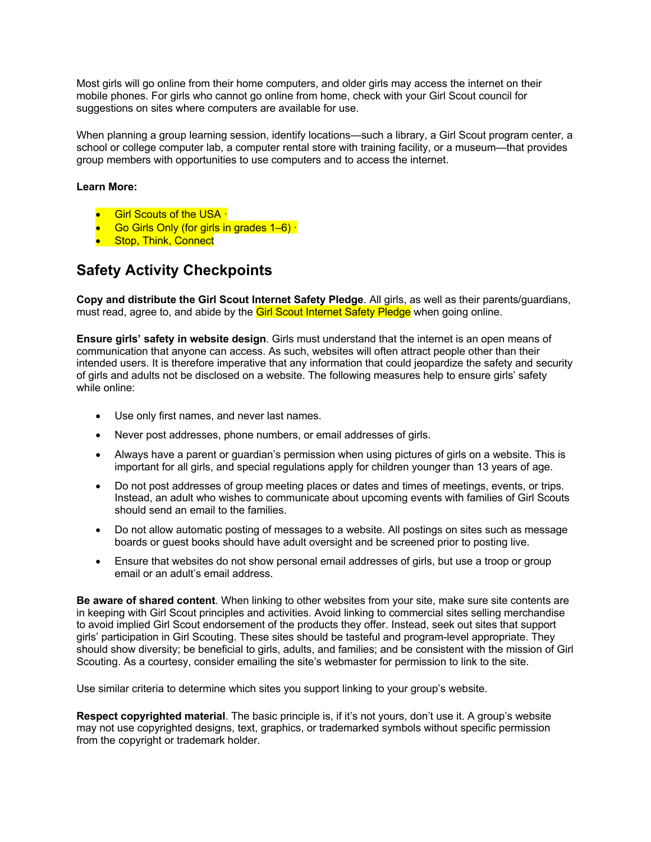Most girls will go online from their home computers, and older girls may access the internet on their mobile phones. For girls who cannot go online from home, check with your Girl Scout council for suggestions on sites where computers are available for use.

When planning a group learning session, identify locations—such a library, a Girl Scout program center, a school or college computer lab, a computer rental store with training facility, or a museum—that provides group members with opportunities to use computers and to access the internet.

## **Learn More:**

- **Girl Scouts of the USA ·**
- Go Girls Only (for girls in grades 1–6) ·
- **Stop, Think, Connect**

## **Safety Activity Checkpoints**

**Copy and distribute the Girl Scout Internet Safety Pledge**. All girls, as well as their parents/guardians, must read, agree to, and abide by the Girl Scout Internet Safety Pledge when going online.

**Ensure girls' safety in website design**. Girls must understand that the internet is an open means of communication that anyone can access. As such, websites will often attract people other than their intended users. It is therefore imperative that any information that could jeopardize the safety and security of girls and adults not be disclosed on a website. The following measures help to ensure girls' safety while online:

- Use only first names, and never last names.
- Never post addresses, phone numbers, or email addresses of girls.
- Always have a parent or guardian's permission when using pictures of girls on a website. This is important for all girls, and special regulations apply for children younger than 13 years of age.
- Do not post addresses of group meeting places or dates and times of meetings, events, or trips. Instead, an adult who wishes to communicate about upcoming events with families of Girl Scouts should send an email to the families.
- Do not allow automatic posting of messages to a website. All postings on sites such as message boards or guest books should have adult oversight and be screened prior to posting live.
- Ensure that websites do not show personal email addresses of girls, but use a troop or group email or an adult's email address.

**Be aware of shared content**. When linking to other websites from your site, make sure site contents are in keeping with Girl Scout principles and activities. Avoid linking to commercial sites selling merchandise to avoid implied Girl Scout endorsement of the products they offer. Instead, seek out sites that support girls' participation in Girl Scouting. These sites should be tasteful and program-level appropriate. They should show diversity; be beneficial to girls, adults, and families; and be consistent with the mission of Girl Scouting. As a courtesy, consider emailing the site's webmaster for permission to link to the site.

Use similar criteria to determine which sites you support linking to your group's website.

**Respect copyrighted material**. The basic principle is, if it's not yours, don't use it. A group's website may not use copyrighted designs, text, graphics, or trademarked symbols without specific permission from the copyright or trademark holder.